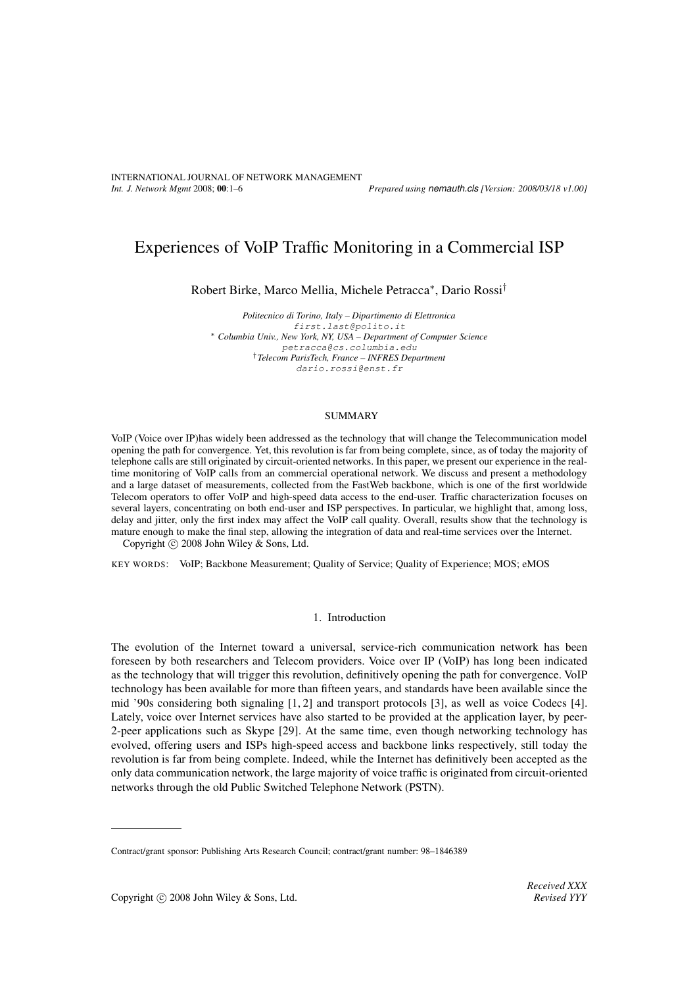INTERNATIONAL JOURNAL OF NETWORK MANAGEMENT *Int. J. Network Mgmt* 2008; **00**:1–6 *Prepared using* nemauth.cls *[Version: 2008/03/18 v1.00]*

# Experiences of VoIP Traffic Monitoring in a Commercial ISP

Robert Birke, Marco Mellia, Michele Petracca<sup>∗</sup> , Dario Rossi†

*Politecnico di Torino, Italy – Dipartimento di Elettronica* first.last@polito.it <sup>∗</sup> *Columbia Univ., New York, NY, USA – Department of Computer Science* petracca@cs.columbia.edu †*Telecom ParisTech, France – INFRES Department* dario.rossi@enst.fr

### SUMMARY

VoIP (Voice over IP)has widely been addressed as the technology that will change the Telecommunication model opening the path for convergence. Yet, this revolution is far from being complete, since, as of today the majority of telephone calls are still originated by circuit-oriented networks. In this paper, we present our experience in the realtime monitoring of VoIP calls from an commercial operational network. We discuss and present a methodology and a large dataset of measurements, collected from the FastWeb backbone, which is one of the first worldwide Telecom operators to offer VoIP and high-speed data access to the end-user. Traffic characterization focuses on several layers, concentrating on both end-user and ISP perspectives. In particular, we highlight that, among loss, delay and jitter, only the first index may affect the VoIP call quality. Overall, results show that the technology is mature enough to make the final step, allowing the integration of data and real-time services over the Internet. Copyright  $\odot$  2008 John Wiley & Sons, Ltd.

KEY WORDS: VoIP; Backbone Measurement; Quality of Service; Quality of Experience; MOS; eMOS

#### 1. Introduction

The evolution of the Internet toward a universal, service-rich communication network has been foreseen by both researchers and Telecom providers. Voice over IP (VoIP) has long been indicated as the technology that will trigger this revolution, definitively opening the path for convergence. VoIP technology has been available for more than fifteen years, and standards have been available since the mid '90s considering both signaling [1, 2] and transport protocols [3], as well as voice Codecs [4]. Lately, voice over Internet services have also started to be provided at the application layer, by peer-2-peer applications such as Skype [29]. At the same time, even though networking technology has evolved, offering users and ISPs high-speed access and backbone links respectively, still today the revolution is far from being complete. Indeed, while the Internet has definitively been accepted as the only data communication network, the large majority of voice traffic is originated from circuit-oriented networks through the old Public Switched Telephone Network (PSTN).

Contract/grant sponsor: Publishing Arts Research Council; contract/grant number: 98–1846389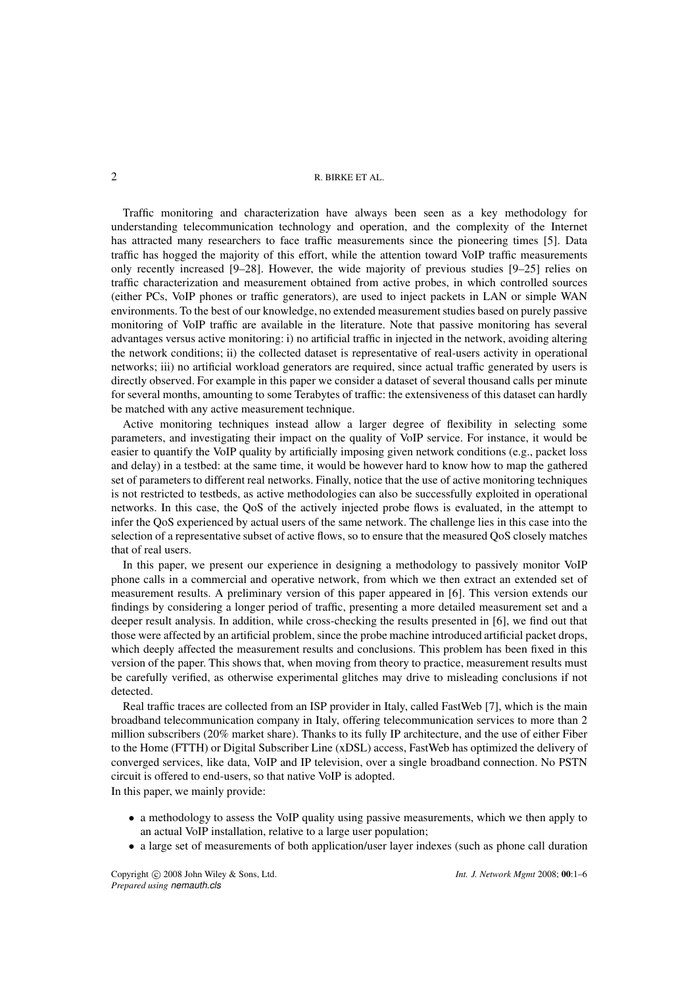Traffic monitoring and characterization have always been seen as a key methodology for understanding telecommunication technology and operation, and the complexity of the Internet has attracted many researchers to face traffic measurements since the pioneering times [5]. Data traffic has hogged the majority of this effort, while the attention toward VoIP traffic measurements only recently increased [9–28]. However, the wide majority of previous studies [9–25] relies on traffic characterization and measurement obtained from active probes, in which controlled sources (either PCs, VoIP phones or traffic generators), are used to inject packets in LAN or simple WAN environments. To the best of our knowledge, no extended measurement studies based on purely passive monitoring of VoIP traffic are available in the literature. Note that passive monitoring has several advantages versus active monitoring: i) no artificial traffic in injected in the network, avoiding altering the network conditions; ii) the collected dataset is representative of real-users activity in operational networks; iii) no artificial workload generators are required, since actual traffic generated by users is directly observed. For example in this paper we consider a dataset of several thousand calls per minute for several months, amounting to some Terabytes of traffic: the extensiveness of this dataset can hardly be matched with any active measurement technique.

Active monitoring techniques instead allow a larger degree of flexibility in selecting some parameters, and investigating their impact on the quality of VoIP service. For instance, it would be easier to quantify the VoIP quality by artificially imposing given network conditions (e.g., packet loss and delay) in a testbed: at the same time, it would be however hard to know how to map the gathered set of parameters to different real networks. Finally, notice that the use of active monitoring techniques is not restricted to testbeds, as active methodologies can also be successfully exploited in operational networks. In this case, the QoS of the actively injected probe flows is evaluated, in the attempt to infer the QoS experienced by actual users of the same network. The challenge lies in this case into the selection of a representative subset of active flows, so to ensure that the measured QoS closely matches that of real users.

In this paper, we present our experience in designing a methodology to passively monitor VoIP phone calls in a commercial and operative network, from which we then extract an extended set of measurement results. A preliminary version of this paper appeared in [6]. This version extends our findings by considering a longer period of traffic, presenting a more detailed measurement set and a deeper result analysis. In addition, while cross-checking the results presented in [6], we find out that those were affected by an artificial problem, since the probe machine introduced artificial packet drops, which deeply affected the measurement results and conclusions. This problem has been fixed in this version of the paper. This shows that, when moving from theory to practice, measurement results must be carefully verified, as otherwise experimental glitches may drive to misleading conclusions if not detected.

Real traffic traces are collected from an ISP provider in Italy, called FastWeb [7], which is the main broadband telecommunication company in Italy, offering telecommunication services to more than 2 million subscribers (20% market share). Thanks to its fully IP architecture, and the use of either Fiber to the Home (FTTH) or Digital Subscriber Line (xDSL) access, FastWeb has optimized the delivery of converged services, like data, VoIP and IP television, over a single broadband connection. No PSTN circuit is offered to end-users, so that native VoIP is adopted.

In this paper, we mainly provide:

- a methodology to assess the VoIP quality using passive measurements, which we then apply to an actual VoIP installation, relative to a large user population;
- a large set of measurements of both application/user layer indexes (such as phone call duration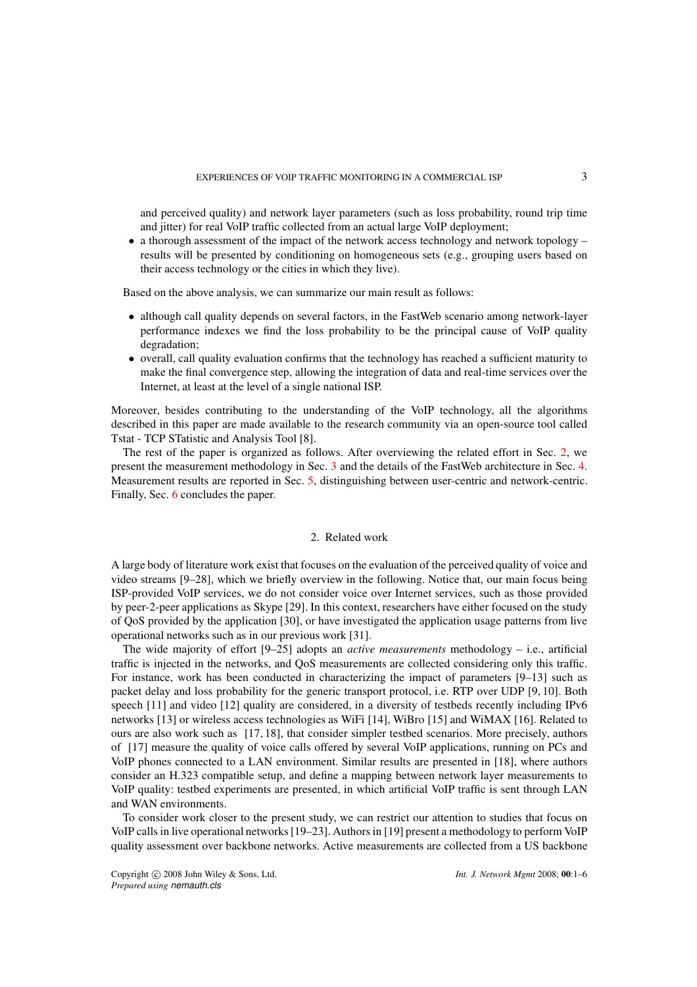and perceived quality) and network layer parameters (such as loss probability, round trip time and jitter) for real VoIP traffic collected from an actual large VoIP deployment;

• a thorough assessment of the impact of the network access technology and network topology – results will be presented by conditioning on homogeneous sets (e.g., grouping users based on their access technology or the cities in which they live).

Based on the above analysis, we can summarize our main result as follows:

- although call quality depends on several factors, in the FastWeb scenario among network-layer performance indexes we find the loss probability to be the principal cause of VoIP quality degradation;
- overall, call quality evaluation confirms that the technology has reached a sufficient maturity to make the final convergence step, allowing the integration of data and real-time services over the Internet, at least at the level of a single national ISP.

Moreover, besides contributing to the understanding of the VoIP technology, all the algorithms described in this paper are made available to the research community via an open-source tool called Tstat - TCP STatistic and Analysis Tool [8].

The rest of the paper is organized as follows. After overviewing the related effort in Sec. [2,](#page-2-0) we present the measurement methodology in Sec. [3](#page-3-0) and the details of the FastWeb architecture in Sec. [4.](#page-9-0) Measurement results are reported in Sec. [5,](#page-10-0) distinguishing between user-centric and network-centric. Finally, Sec. [6](#page-19-0) concludes the paper.

# 2. Related work

<span id="page-2-0"></span>A large body of literature work exist that focuses on the evaluation of the perceived quality of voice and video streams [9–28], which we briefly overview in the following. Notice that, our main focus being ISP-provided VoIP services, we do not consider voice over Internet services, such as those provided by peer-2-peer applications as Skype [29]. In this context, researchers have either focused on the study of QoS provided by the application [30], or have investigated the application usage patterns from live operational networks such as in our previous work [31].

The wide majority of effort [9–25] adopts an *active measurements* methodology – i.e., artificial traffic is injected in the networks, and QoS measurements are collected considering only this traffic. For instance, work has been conducted in characterizing the impact of parameters [9–13] such as packet delay and loss probability for the generic transport protocol, i.e. RTP over UDP [9, 10]. Both speech [11] and video [12] quality are considered, in a diversity of testbeds recently including IPv6 networks [13] or wireless access technologies as WiFi [14], WiBro [15] and WiMAX [16]. Related to ours are also work such as [17, 18], that consider simpler testbed scenarios. More precisely, authors of [17] measure the quality of voice calls offered by several VoIP applications, running on PCs and VoIP phones connected to a LAN environment. Similar results are presented in [18], where authors consider an H.323 compatible setup, and define a mapping between network layer measurements to VoIP quality: testbed experiments are presented, in which artificial VoIP traffic is sent through LAN and WAN environments.

To consider work closer to the present study, we can restrict our attention to studies that focus on VoIP calls in live operational networks [19–23]. Authors in [19] present a methodology to perform VoIP quality assessment over backbone networks. Active measurements are collected from a US backbone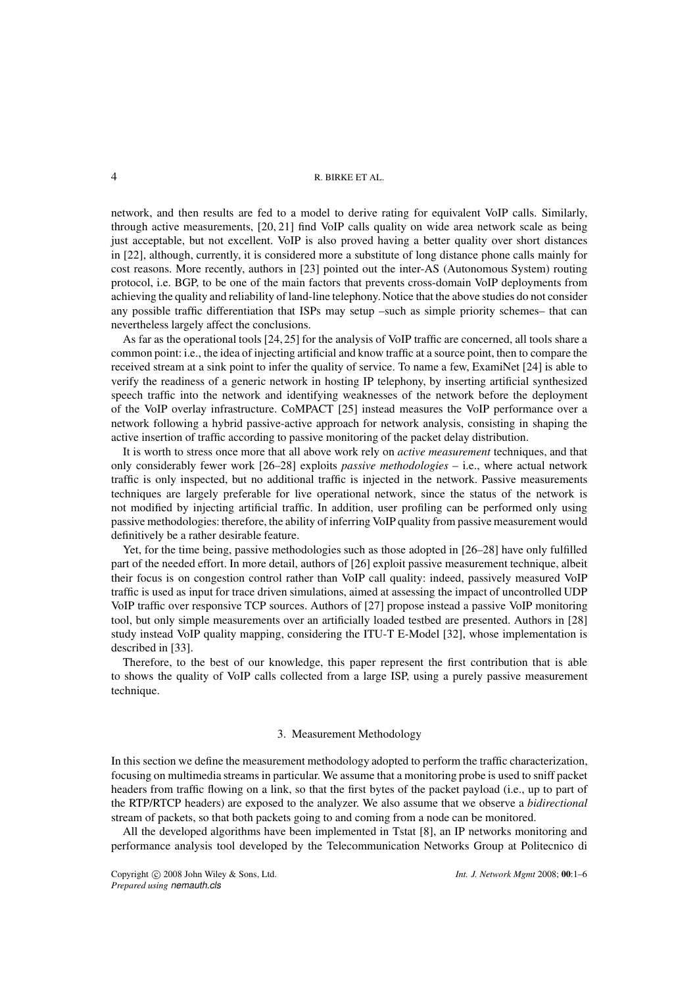network, and then results are fed to a model to derive rating for equivalent VoIP calls. Similarly, through active measurements, [20, 21] find VoIP calls quality on wide area network scale as being just acceptable, but not excellent. VoIP is also proved having a better quality over short distances in [22], although, currently, it is considered more a substitute of long distance phone calls mainly for cost reasons. More recently, authors in [23] pointed out the inter-AS (Autonomous System) routing protocol, i.e. BGP, to be one of the main factors that prevents cross-domain VoIP deployments from achieving the quality and reliability of land-line telephony. Notice that the above studies do not consider any possible traffic differentiation that ISPs may setup –such as simple priority schemes– that can nevertheless largely affect the conclusions.

As far as the operational tools [24,25] for the analysis of VoIP traffic are concerned, all tools share a common point: i.e., the idea of injecting artificial and know traffic at a source point, then to compare the received stream at a sink point to infer the quality of service. To name a few, ExamiNet [24] is able to verify the readiness of a generic network in hosting IP telephony, by inserting artificial synthesized speech traffic into the network and identifying weaknesses of the network before the deployment of the VoIP overlay infrastructure. CoMPACT [25] instead measures the VoIP performance over a network following a hybrid passive-active approach for network analysis, consisting in shaping the active insertion of traffic according to passive monitoring of the packet delay distribution.

It is worth to stress once more that all above work rely on *active measurement* techniques, and that only considerably fewer work [26–28] exploits *passive methodologies* – i.e., where actual network traffic is only inspected, but no additional traffic is injected in the network. Passive measurements techniques are largely preferable for live operational network, since the status of the network is not modified by injecting artificial traffic. In addition, user profiling can be performed only using passive methodologies: therefore, the ability of inferring VoIP quality from passive measurement would definitively be a rather desirable feature.

Yet, for the time being, passive methodologies such as those adopted in [26–28] have only fulfilled part of the needed effort. In more detail, authors of [26] exploit passive measurement technique, albeit their focus is on congestion control rather than VoIP call quality: indeed, passively measured VoIP traffic is used as input for trace driven simulations, aimed at assessing the impact of uncontrolled UDP VoIP traffic over responsive TCP sources. Authors of [27] propose instead a passive VoIP monitoring tool, but only simple measurements over an artificially loaded testbed are presented. Authors in [28] study instead VoIP quality mapping, considering the ITU-T E-Model [32], whose implementation is described in [33].

Therefore, to the best of our knowledge, this paper represent the first contribution that is able to shows the quality of VoIP calls collected from a large ISP, using a purely passive measurement technique.

#### 3. Measurement Methodology

<span id="page-3-0"></span>In this section we define the measurement methodology adopted to perform the traffic characterization, focusing on multimedia streams in particular. We assume that a monitoring probe is used to sniff packet headers from traffic flowing on a link, so that the first bytes of the packet payload (i.e., up to part of the RTP/RTCP headers) are exposed to the analyzer. We also assume that we observe a *bidirectional* stream of packets, so that both packets going to and coming from a node can be monitored.

All the developed algorithms have been implemented in Tstat [8], an IP networks monitoring and performance analysis tool developed by the Telecommunication Networks Group at Politecnico di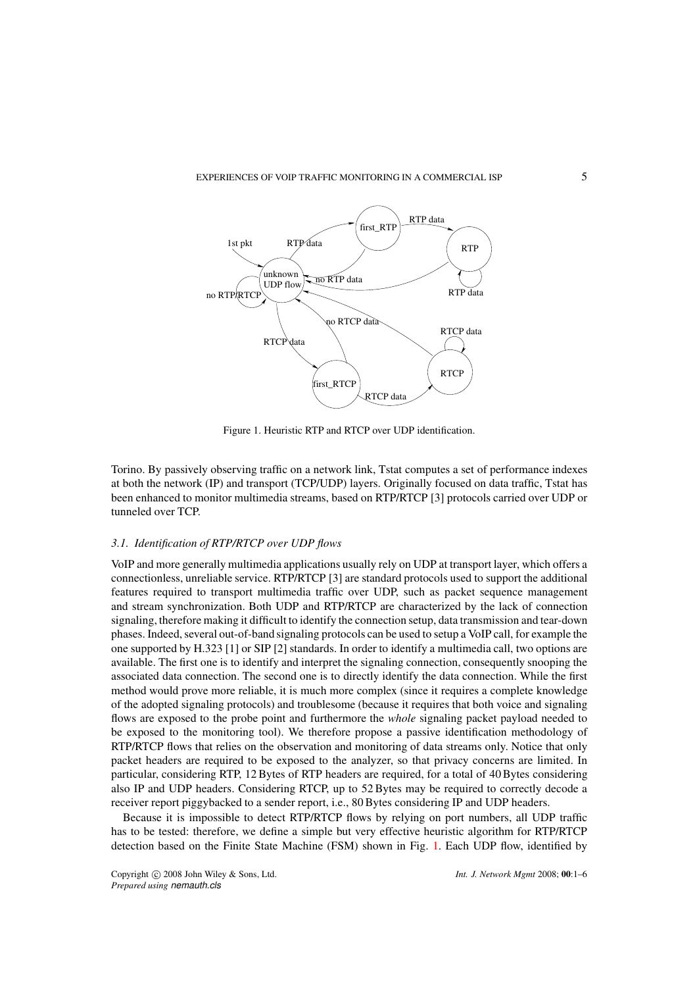

<span id="page-4-0"></span>Figure 1. Heuristic RTP and RTCP over UDP identification.

Torino. By passively observing traffic on a network link, Tstat computes a set of performance indexes at both the network (IP) and transport (TCP/UDP) layers. Originally focused on data traffic, Tstat has been enhanced to monitor multimedia streams, based on RTP/RTCP [3] protocols carried over UDP or tunneled over TCP.

# *3.1. Identification of RTP/RTCP over UDP flows*

VoIP and more generally multimedia applications usually rely on UDP at transport layer, which offers a connectionless, unreliable service. RTP/RTCP [3] are standard protocols used to support the additional features required to transport multimedia traffic over UDP, such as packet sequence management and stream synchronization. Both UDP and RTP/RTCP are characterized by the lack of connection signaling, therefore making it difficult to identify the connection setup, data transmission and tear-down phases. Indeed, several out-of-band signaling protocols can be used to setup a VoIP call, for example the one supported by H.323 [1] or SIP [2] standards. In order to identify a multimedia call, two options are available. The first one is to identify and interpret the signaling connection, consequently snooping the associated data connection. The second one is to directly identify the data connection. While the first method would prove more reliable, it is much more complex (since it requires a complete knowledge of the adopted signaling protocols) and troublesome (because it requires that both voice and signaling flows are exposed to the probe point and furthermore the *whole* signaling packet payload needed to be exposed to the monitoring tool). We therefore propose a passive identification methodology of RTP/RTCP flows that relies on the observation and monitoring of data streams only. Notice that only packet headers are required to be exposed to the analyzer, so that privacy concerns are limited. In particular, considering RTP, 12 Bytes of RTP headers are required, for a total of 40 Bytes considering also IP and UDP headers. Considering RTCP, up to 52 Bytes may be required to correctly decode a receiver report piggybacked to a sender report, i.e., 80 Bytes considering IP and UDP headers.

Because it is impossible to detect RTP/RTCP flows by relying on port numbers, all UDP traffic has to be tested: therefore, we define a simple but very effective heuristic algorithm for RTP/RTCP detection based on the Finite State Machine (FSM) shown in Fig. [1.](#page-4-0) Each UDP flow, identified by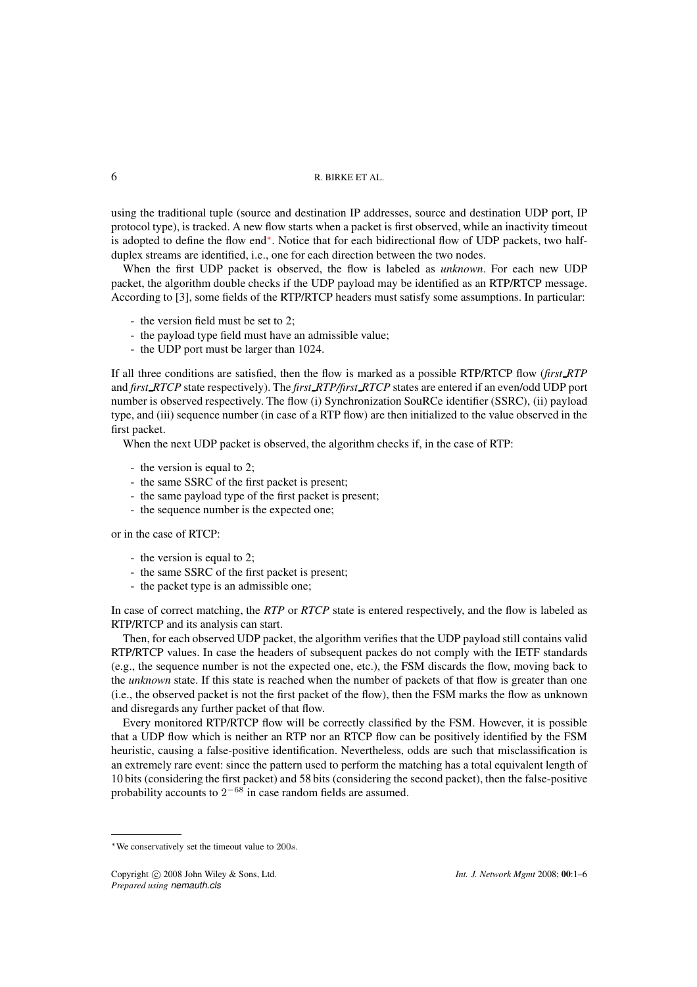using the traditional tuple (source and destination IP addresses, source and destination UDP port, IP protocol type), is tracked. A new flow starts when a packet is first observed, while an inactivity timeout is adopted to define the flow end[∗](#page-5-0) . Notice that for each bidirectional flow of UDP packets, two halfduplex streams are identified, i.e., one for each direction between the two nodes.

When the first UDP packet is observed, the flow is labeled as *unknown*. For each new UDP packet, the algorithm double checks if the UDP payload may be identified as an RTP/RTCP message. According to [3], some fields of the RTP/RTCP headers must satisfy some assumptions. In particular:

- the version field must be set to 2;
- the payload type field must have an admissible value;
- the UDP port must be larger than 1024.

If all three conditions are satisfied, then the flow is marked as a possible RTP/RTCP flow (*first RTP* and *first RTCP* state respectively). The *first RTP/first RTCP* states are entered if an even/odd UDP port number is observed respectively. The flow (i) Synchronization SouRCe identifier (SSRC), (ii) payload type, and (iii) sequence number (in case of a RTP flow) are then initialized to the value observed in the first packet.

When the next UDP packet is observed, the algorithm checks if, in the case of RTP:

- the version is equal to 2;
- the same SSRC of the first packet is present;
- the same payload type of the first packet is present;
- the sequence number is the expected one:

or in the case of RTCP:

- the version is equal to 2;
- the same SSRC of the first packet is present;
- the packet type is an admissible one;

In case of correct matching, the *RTP* or *RTCP* state is entered respectively, and the flow is labeled as RTP/RTCP and its analysis can start.

Then, for each observed UDP packet, the algorithm verifies that the UDP payload still contains valid RTP/RTCP values. In case the headers of subsequent packes do not comply with the IETF standards (e.g., the sequence number is not the expected one, etc.), the FSM discards the flow, moving back to the *unknown* state. If this state is reached when the number of packets of that flow is greater than one (i.e., the observed packet is not the first packet of the flow), then the FSM marks the flow as unknown and disregards any further packet of that flow.

Every monitored RTP/RTCP flow will be correctly classified by the FSM. However, it is possible that a UDP flow which is neither an RTP nor an RTCP flow can be positively identified by the FSM heuristic, causing a false-positive identification. Nevertheless, odds are such that misclassification is an extremely rare event: since the pattern used to perform the matching has a total equivalent length of 10 bits (considering the first packet) and 58 bits (considering the second packet), then the false-positive probability accounts to  $2^{-68}$  in case random fields are assumed.

<span id="page-5-0"></span><sup>∗</sup>We conservatively set the timeout value to 200s.

Copyright c 2008 John Wiley & Sons, Ltd. *Int. J. Network Mgmt* 2008; **00**:1–6 *Prepared using* nemauth.cls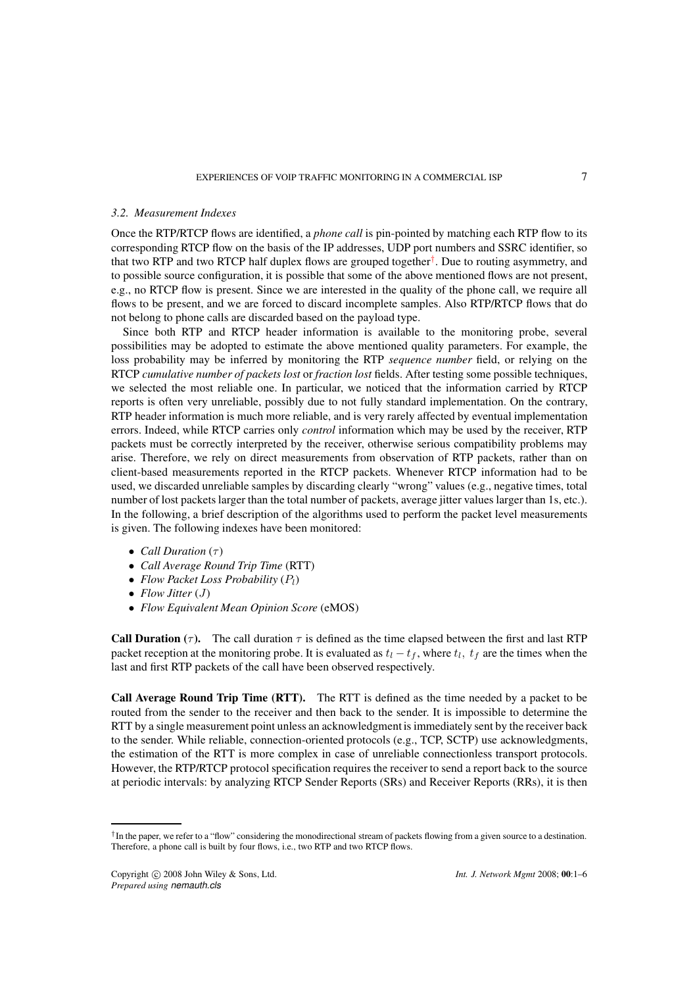### *3.2. Measurement Indexes*

Once the RTP/RTCP flows are identified, a *phone call* is pin-pointed by matching each RTP flow to its corresponding RTCP flow on the basis of the IP addresses, UDP port numbers and SSRC identifier, so that two RTP and two RTCP half duplex flows are grouped together<sup>[†](#page-6-0)</sup>. Due to routing asymmetry, and to possible source configuration, it is possible that some of the above mentioned flows are not present, e.g., no RTCP flow is present. Since we are interested in the quality of the phone call, we require all flows to be present, and we are forced to discard incomplete samples. Also RTP/RTCP flows that do not belong to phone calls are discarded based on the payload type.

Since both RTP and RTCP header information is available to the monitoring probe, several possibilities may be adopted to estimate the above mentioned quality parameters. For example, the loss probability may be inferred by monitoring the RTP *sequence number* field, or relying on the RTCP *cumulative number of packets lost* or *fraction lost* fields. After testing some possible techniques, we selected the most reliable one. In particular, we noticed that the information carried by RTCP reports is often very unreliable, possibly due to not fully standard implementation. On the contrary, RTP header information is much more reliable, and is very rarely affected by eventual implementation errors. Indeed, while RTCP carries only *control* information which may be used by the receiver, RTP packets must be correctly interpreted by the receiver, otherwise serious compatibility problems may arise. Therefore, we rely on direct measurements from observation of RTP packets, rather than on client-based measurements reported in the RTCP packets. Whenever RTCP information had to be used, we discarded unreliable samples by discarding clearly "wrong" values (e.g., negative times, total number of lost packets larger than the total number of packets, average jitter values larger than 1s, etc.). In the following, a brief description of the algorithms used to perform the packet level measurements is given. The following indexes have been monitored:

- *Call Duration* (τ)
- *Call Average Round Trip Time* (RTT)
- *Flow Packet Loss Probability*  $(P_l)$
- *Flow Jitter* (J)
- *Flow Equivalent Mean Opinion Score* (eMOS)

**Call Duration** ( $\tau$ ). The call duration  $\tau$  is defined as the time elapsed between the first and last RTP packet reception at the monitoring probe. It is evaluated as  $t_l - t_f$ , where  $t_l$ ,  $t_f$  are the times when the last and first RTP packets of the call have been observed respectively.

**Call Average Round Trip Time (RTT).** The RTT is defined as the time needed by a packet to be routed from the sender to the receiver and then back to the sender. It is impossible to determine the RTT by a single measurement point unless an acknowledgment is immediately sent by the receiver back to the sender. While reliable, connection-oriented protocols (e.g., TCP, SCTP) use acknowledgments, the estimation of the RTT is more complex in case of unreliable connectionless transport protocols. However, the RTP/RTCP protocol specification requires the receiver to send a report back to the source at periodic intervals: by analyzing RTCP Sender Reports (SRs) and Receiver Reports (RRs), it is then

<span id="page-6-0"></span><sup>&</sup>lt;sup>†</sup> In the paper, we refer to a "flow" considering the monodirectional stream of packets flowing from a given source to a destination. Therefore, a phone call is built by four flows, i.e., two RTP and two RTCP flows.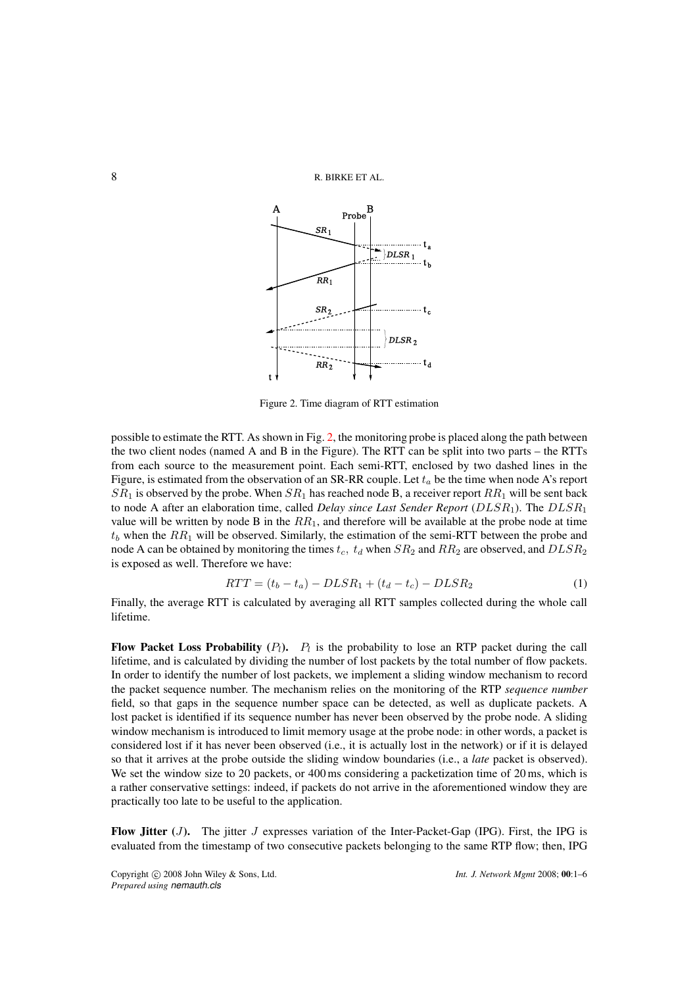

<span id="page-7-0"></span>Figure 2. Time diagram of RTT estimation

possible to estimate the RTT. As shown in Fig. [2,](#page-7-0) the monitoring probe is placed along the path between the two client nodes (named A and B in the Figure). The RTT can be split into two parts – the RTTs from each source to the measurement point. Each semi-RTT, enclosed by two dashed lines in the Figure, is estimated from the observation of an SR-RR couple. Let  $t_a$  be the time when node A's report  $SR_1$  is observed by the probe. When  $SR_1$  has reached node B, a receiver report  $RR_1$  will be sent back to node A after an elaboration time, called *Delay since Last Sender Report* ( $DLSR_1$ ). The  $DLSR_1$ value will be written by node B in the  $RR_1$ , and therefore will be available at the probe node at time  $t<sub>b</sub>$  when the  $RR<sub>1</sub>$  will be observed. Similarly, the estimation of the semi-RTT between the probe and node A can be obtained by monitoring the times  $t_c$ ,  $t_d$  when  $SR_2$  and  $RR_2$  are observed, and  $DLSR_2$ is exposed as well. Therefore we have:

$$
RTT = (t_b - t_a) - DLSR_1 + (t_d - t_c) - DLSR_2 \tag{1}
$$

Finally, the average RTT is calculated by averaging all RTT samples collected during the whole call lifetime.

**Flow Packet Loss Probability**  $(P_l)$ .  $P_l$  is the probability to lose an RTP packet during the call lifetime, and is calculated by dividing the number of lost packets by the total number of flow packets. In order to identify the number of lost packets, we implement a sliding window mechanism to record the packet sequence number. The mechanism relies on the monitoring of the RTP *sequence number* field, so that gaps in the sequence number space can be detected, as well as duplicate packets. A lost packet is identified if its sequence number has never been observed by the probe node. A sliding window mechanism is introduced to limit memory usage at the probe node: in other words, a packet is considered lost if it has never been observed (i.e., it is actually lost in the network) or if it is delayed so that it arrives at the probe outside the sliding window boundaries (i.e., a *late* packet is observed). We set the window size to 20 packets, or 400 ms considering a packetization time of 20 ms, which is a rather conservative settings: indeed, if packets do not arrive in the aforementioned window they are practically too late to be useful to the application.

**Flow Jitter (**J**).** The jitter J expresses variation of the Inter-Packet-Gap (IPG). First, the IPG is evaluated from the timestamp of two consecutive packets belonging to the same RTP flow; then, IPG

Copyright 
c 2008 John Wiley & Sons, Ltd. **Int. J. Network Mgmt** 2008; **00**:1–6 *Prepared using* nemauth.cls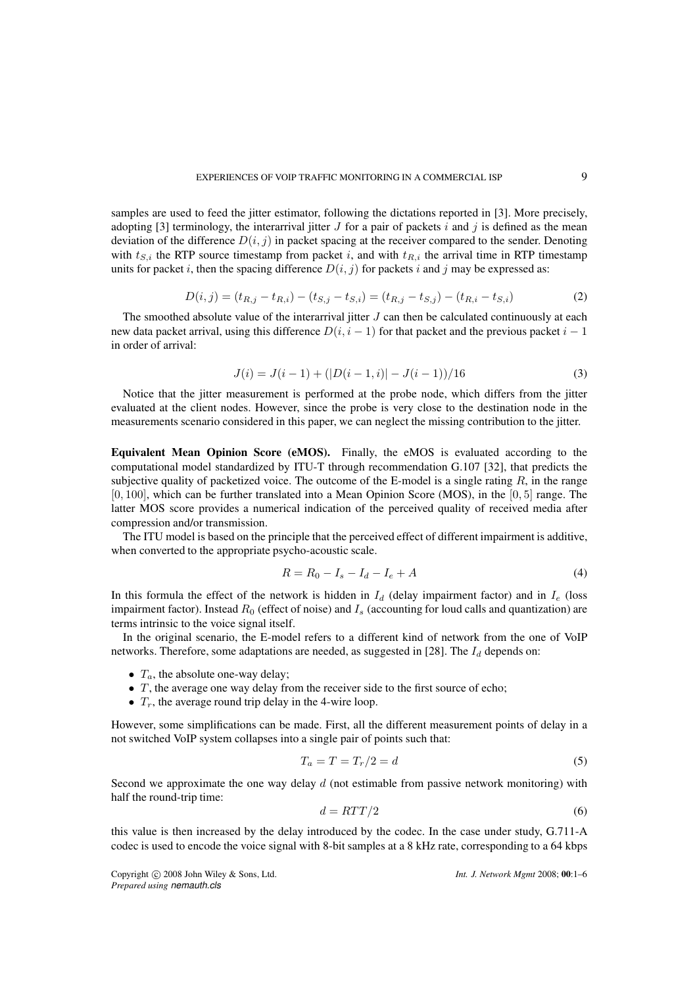samples are used to feed the jitter estimator, following the dictations reported in [3]. More precisely, adopting [3] terminology, the interarrival jitter J for a pair of packets i and j is defined as the mean deviation of the difference  $D(i, j)$  in packet spacing at the receiver compared to the sender. Denoting with  $t_{S,i}$  the RTP source timestamp from packet i, and with  $t_{R,i}$  the arrival time in RTP timestamp units for packet i, then the spacing difference  $D(i, j)$  for packets i and j may be expressed as:

$$
D(i,j) = (t_{R,j} - t_{R,i}) - (t_{S,j} - t_{S,i}) = (t_{R,j} - t_{S,j}) - (t_{R,i} - t_{S,i})
$$
\n<sup>(2)</sup>

The smoothed absolute value of the interarrival jitter  $J$  can then be calculated continuously at each new data packet arrival, using this difference  $D(i, i - 1)$  for that packet and the previous packet  $i - 1$ in order of arrival:

$$
J(i) = J(i-1) + (|D(i-1,i)| - J(i-1))/16
$$
\n(3)

Notice that the jitter measurement is performed at the probe node, which differs from the jitter evaluated at the client nodes. However, since the probe is very close to the destination node in the measurements scenario considered in this paper, we can neglect the missing contribution to the jitter.

**Equivalent Mean Opinion Score (eMOS).** Finally, the eMOS is evaluated according to the computational model standardized by ITU-T through recommendation G.107 [32], that predicts the subjective quality of packetized voice. The outcome of the E-model is a single rating  $R$ , in the range  $[0, 100]$ , which can be further translated into a Mean Opinion Score (MOS), in the  $[0, 5]$  range. The latter MOS score provides a numerical indication of the perceived quality of received media after compression and/or transmission.

The ITU model is based on the principle that the perceived effect of different impairment is additive, when converted to the appropriate psycho-acoustic scale.

$$
R = R_0 - I_s - I_d - I_e + A \tag{4}
$$

In this formula the effect of the network is hidden in  $I_d$  (delay impairment factor) and in  $I_e$  (loss impairment factor). Instead  $R_0$  (effect of noise) and  $I_s$  (accounting for loud calls and quantization) are terms intrinsic to the voice signal itself.

In the original scenario, the E-model refers to a different kind of network from the one of VoIP networks. Therefore, some adaptations are needed, as suggested in [28]. The  $I_d$  depends on:

- $T_a$ , the absolute one-way delay;
- $\bullet$  T, the average one way delay from the receiver side to the first source of echo;
- $T_r$ , the average round trip delay in the 4-wire loop.

However, some simplifications can be made. First, all the different measurement points of delay in a not switched VoIP system collapses into a single pair of points such that:

<span id="page-8-0"></span>
$$
T_a = T = T_r/2 = d \tag{5}
$$

Second we approximate the one way delay  $d$  (not estimable from passive network monitoring) with half the round-trip time:

$$
d = RTT/2 \tag{6}
$$

this value is then increased by the delay introduced by the codec. In the case under study, G.711-A codec is used to encode the voice signal with 8-bit samples at a 8 kHz rate, corresponding to a 64 kbps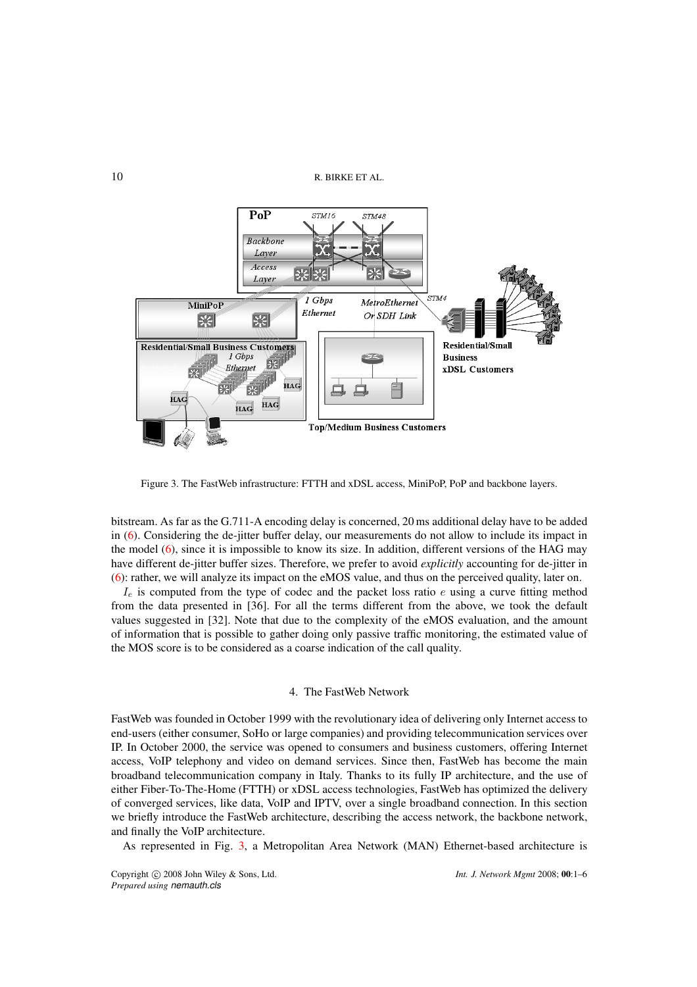

Figure 3. The FastWeb infrastructure: FTTH and xDSL access, MiniPoP, PoP and backbone layers.

<span id="page-9-1"></span>bitstream. As far as the G.711-A encoding delay is concerned, 20 ms additional delay have to be added in [\(6\)](#page-8-0). Considering the de-jitter buffer delay, our measurements do not allow to include its impact in the model [\(6\)](#page-8-0), since it is impossible to know its size. In addition, different versions of the HAG may have different de-jitter buffer sizes. Therefore, we prefer to avoid *explicitly* accounting for de-jitter in [\(6\)](#page-8-0): rather, we will analyze its impact on the eMOS value, and thus on the perceived quality, later on.

 $I_e$  is computed from the type of codec and the packet loss ratio e using a curve fitting method from the data presented in [36]. For all the terms different from the above, we took the default values suggested in [32]. Note that due to the complexity of the eMOS evaluation, and the amount of information that is possible to gather doing only passive traffic monitoring, the estimated value of the MOS score is to be considered as a coarse indication of the call quality.

# 4. The FastWeb Network

<span id="page-9-0"></span>FastWeb was founded in October 1999 with the revolutionary idea of delivering only Internet access to end-users (either consumer, SoHo or large companies) and providing telecommunication services over IP. In October 2000, the service was opened to consumers and business customers, offering Internet access, VoIP telephony and video on demand services. Since then, FastWeb has become the main broadband telecommunication company in Italy. Thanks to its fully IP architecture, and the use of either Fiber-To-The-Home (FTTH) or xDSL access technologies, FastWeb has optimized the delivery of converged services, like data, VoIP and IPTV, over a single broadband connection. In this section we briefly introduce the FastWeb architecture, describing the access network, the backbone network, and finally the VoIP architecture.

As represented in Fig. [3,](#page-9-1) a Metropolitan Area Network (MAN) Ethernet-based architecture is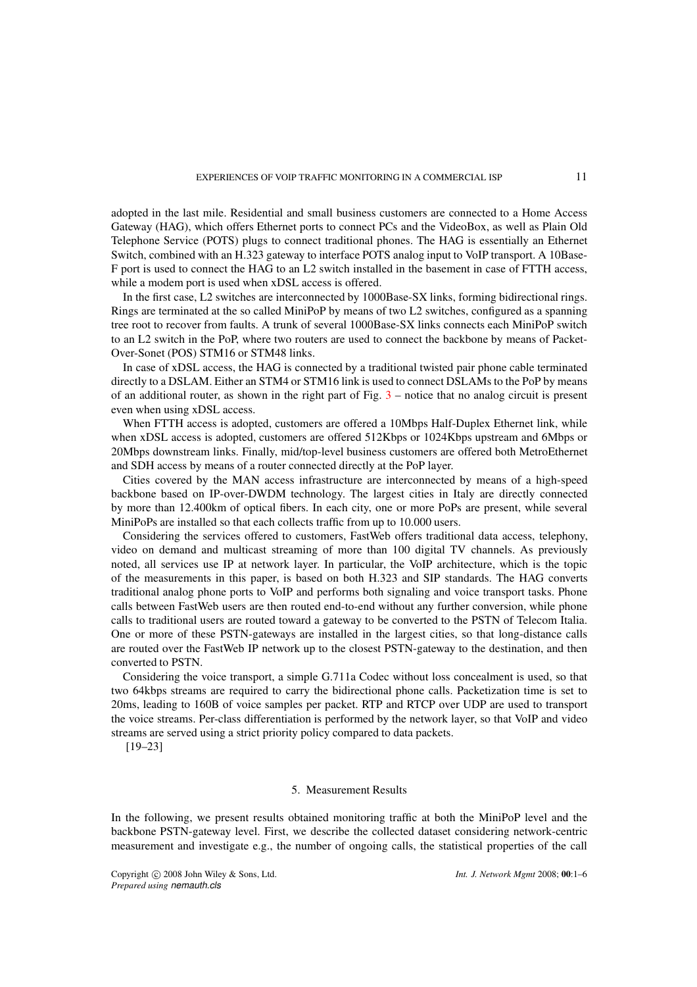adopted in the last mile. Residential and small business customers are connected to a Home Access Gateway (HAG), which offers Ethernet ports to connect PCs and the VideoBox, as well as Plain Old Telephone Service (POTS) plugs to connect traditional phones. The HAG is essentially an Ethernet Switch, combined with an H.323 gateway to interface POTS analog input to VoIP transport. A 10Base-F port is used to connect the HAG to an L2 switch installed in the basement in case of FTTH access, while a modem port is used when xDSL access is offered.

In the first case, L2 switches are interconnected by 1000Base-SX links, forming bidirectional rings. Rings are terminated at the so called MiniPoP by means of two L2 switches, configured as a spanning tree root to recover from faults. A trunk of several 1000Base-SX links connects each MiniPoP switch to an L2 switch in the PoP, where two routers are used to connect the backbone by means of Packet-Over-Sonet (POS) STM16 or STM48 links.

In case of xDSL access, the HAG is connected by a traditional twisted pair phone cable terminated directly to a DSLAM. Either an STM4 or STM16 link is used to connect DSLAMs to the PoP by means of an additional router, as shown in the right part of Fig.  $3$  – notice that no analog circuit is present even when using xDSL access.

When FTTH access is adopted, customers are offered a 10Mbps Half-Duplex Ethernet link, while when xDSL access is adopted, customers are offered 512Kbps or 1024Kbps upstream and 6Mbps or 20Mbps downstream links. Finally, mid/top-level business customers are offered both MetroEthernet and SDH access by means of a router connected directly at the PoP layer.

Cities covered by the MAN access infrastructure are interconnected by means of a high-speed backbone based on IP-over-DWDM technology. The largest cities in Italy are directly connected by more than 12.400km of optical fibers. In each city, one or more PoPs are present, while several MiniPoPs are installed so that each collects traffic from up to 10.000 users.

Considering the services offered to customers, FastWeb offers traditional data access, telephony, video on demand and multicast streaming of more than 100 digital TV channels. As previously noted, all services use IP at network layer. In particular, the VoIP architecture, which is the topic of the measurements in this paper, is based on both H.323 and SIP standards. The HAG converts traditional analog phone ports to VoIP and performs both signaling and voice transport tasks. Phone calls between FastWeb users are then routed end-to-end without any further conversion, while phone calls to traditional users are routed toward a gateway to be converted to the PSTN of Telecom Italia. One or more of these PSTN-gateways are installed in the largest cities, so that long-distance calls are routed over the FastWeb IP network up to the closest PSTN-gateway to the destination, and then converted to PSTN.

Considering the voice transport, a simple G.711a Codec without loss concealment is used, so that two 64kbps streams are required to carry the bidirectional phone calls. Packetization time is set to 20ms, leading to 160B of voice samples per packet. RTP and RTCP over UDP are used to transport the voice streams. Per-class differentiation is performed by the network layer, so that VoIP and video streams are served using a strict priority policy compared to data packets.

[19–23]

# 5. Measurement Results

<span id="page-10-0"></span>In the following, we present results obtained monitoring traffic at both the MiniPoP level and the backbone PSTN-gateway level. First, we describe the collected dataset considering network-centric measurement and investigate e.g., the number of ongoing calls, the statistical properties of the call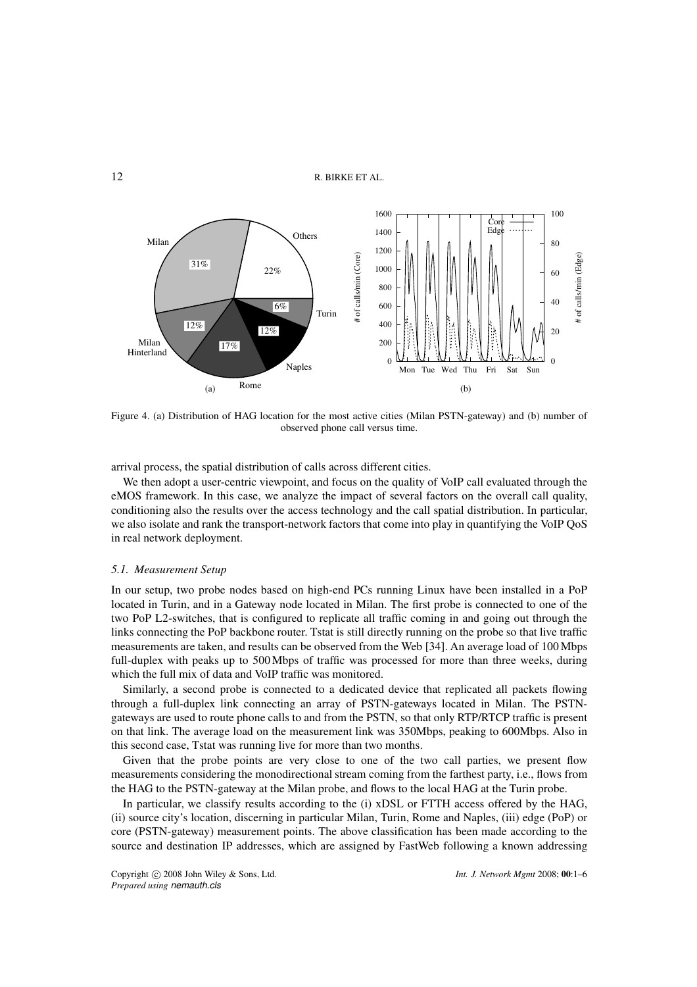

<span id="page-11-0"></span>Figure 4. (a) Distribution of HAG location for the most active cities (Milan PSTN-gateway) and (b) number of observed phone call versus time.

arrival process, the spatial distribution of calls across different cities.

We then adopt a user-centric viewpoint, and focus on the quality of VoIP call evaluated through the eMOS framework. In this case, we analyze the impact of several factors on the overall call quality, conditioning also the results over the access technology and the call spatial distribution. In particular, we also isolate and rank the transport-network factors that come into play in quantifying the VoIP QoS in real network deployment.

#### *5.1. Measurement Setup*

In our setup, two probe nodes based on high-end PCs running Linux have been installed in a PoP located in Turin, and in a Gateway node located in Milan. The first probe is connected to one of the two PoP L2-switches, that is configured to replicate all traffic coming in and going out through the links connecting the PoP backbone router. Tstat is still directly running on the probe so that live traffic measurements are taken, and results can be observed from the Web [34]. An average load of 100 Mbps full-duplex with peaks up to 500 Mbps of traffic was processed for more than three weeks, during which the full mix of data and VoIP traffic was monitored.

Similarly, a second probe is connected to a dedicated device that replicated all packets flowing through a full-duplex link connecting an array of PSTN-gateways located in Milan. The PSTNgateways are used to route phone calls to and from the PSTN, so that only RTP/RTCP traffic is present on that link. The average load on the measurement link was 350Mbps, peaking to 600Mbps. Also in this second case, Tstat was running live for more than two months.

Given that the probe points are very close to one of the two call parties, we present flow measurements considering the monodirectional stream coming from the farthest party, i.e., flows from the HAG to the PSTN-gateway at the Milan probe, and flows to the local HAG at the Turin probe.

In particular, we classify results according to the (i) xDSL or FTTH access offered by the HAG, (ii) source city's location, discerning in particular Milan, Turin, Rome and Naples, (iii) edge (PoP) or core (PSTN-gateway) measurement points. The above classification has been made according to the source and destination IP addresses, which are assigned by FastWeb following a known addressing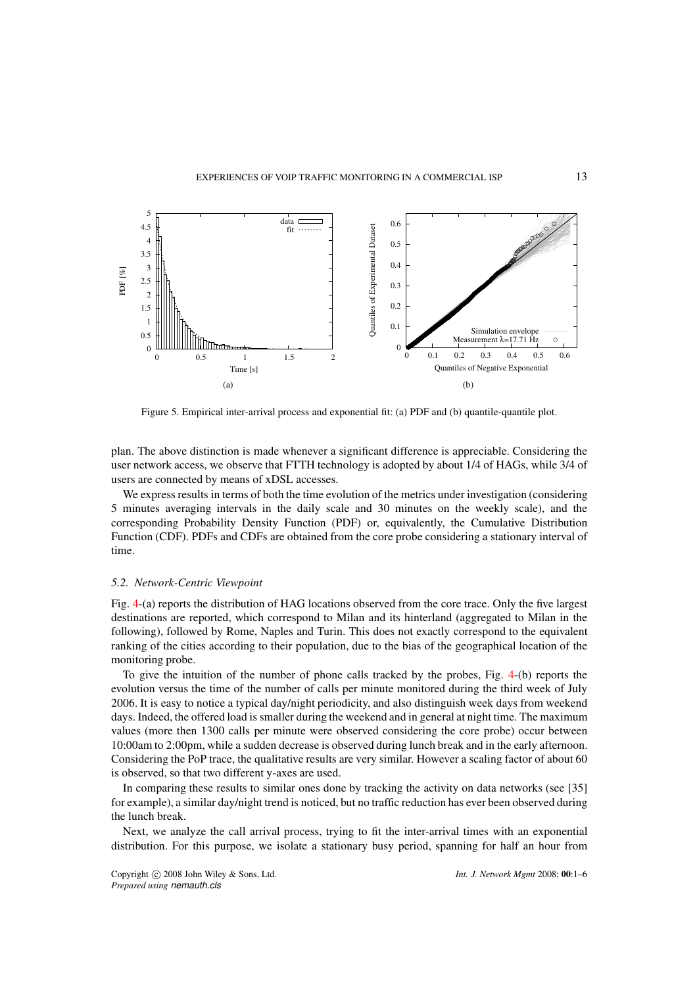

Figure 5. Empirical inter-arrival process and exponential fit: (a) PDF and (b) quantile-quantile plot.

<span id="page-12-0"></span>plan. The above distinction is made whenever a significant difference is appreciable. Considering the user network access, we observe that FTTH technology is adopted by about 1/4 of HAGs, while 3/4 of users are connected by means of xDSL accesses.

We express results in terms of both the time evolution of the metrics under investigation (considering 5 minutes averaging intervals in the daily scale and 30 minutes on the weekly scale), and the corresponding Probability Density Function (PDF) or, equivalently, the Cumulative Distribution Function (CDF). PDFs and CDFs are obtained from the core probe considering a stationary interval of time.

#### *5.2. Network-Centric Viewpoint*

Fig. [4-](#page-11-0)(a) reports the distribution of HAG locations observed from the core trace. Only the five largest destinations are reported, which correspond to Milan and its hinterland (aggregated to Milan in the following), followed by Rome, Naples and Turin. This does not exactly correspond to the equivalent ranking of the cities according to their population, due to the bias of the geographical location of the monitoring probe.

To give the intuition of the number of phone calls tracked by the probes, Fig. [4-](#page-11-0)(b) reports the evolution versus the time of the number of calls per minute monitored during the third week of July 2006. It is easy to notice a typical day/night periodicity, and also distinguish week days from weekend days. Indeed, the offered load is smaller during the weekend and in general at night time. The maximum values (more then 1300 calls per minute were observed considering the core probe) occur between 10:00am to 2:00pm, while a sudden decrease is observed during lunch break and in the early afternoon. Considering the PoP trace, the qualitative results are very similar. However a scaling factor of about 60 is observed, so that two different y-axes are used.

In comparing these results to similar ones done by tracking the activity on data networks (see [35] for example), a similar day/night trend is noticed, but no traffic reduction has ever been observed during the lunch break.

Next, we analyze the call arrival process, trying to fit the inter-arrival times with an exponential distribution. For this purpose, we isolate a stationary busy period, spanning for half an hour from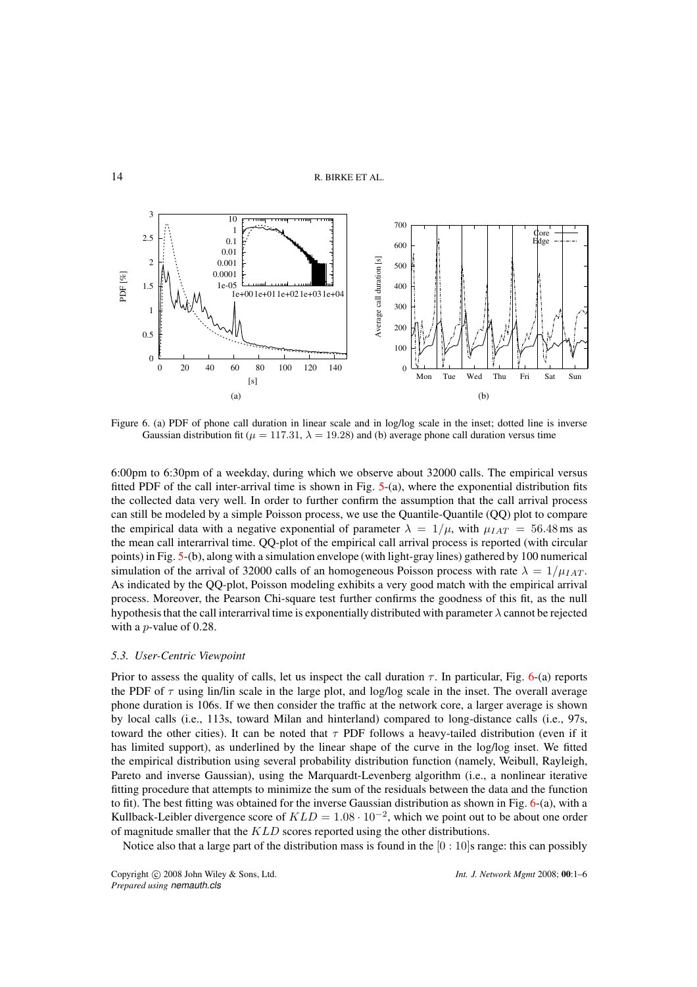

<span id="page-13-0"></span>Figure 6. (a) PDF of phone call duration in linear scale and in log/log scale in the inset; dotted line is inverse Gaussian distribution fit ( $\mu = 117.31$ ,  $\lambda = 19.28$ ) and (b) average phone call duration versus time

6:00pm to 6:30pm of a weekday, during which we observe about 32000 calls. The empirical versus fitted PDF of the call inter-arrival time is shown in Fig. [5-](#page-12-0)(a), where the exponential distribution fits the collected data very well. In order to further confirm the assumption that the call arrival process can still be modeled by a simple Poisson process, we use the Quantile-Quantile (QQ) plot to compare the empirical data with a negative exponential of parameter  $\lambda = 1/\mu$ , with  $\mu_{IAT} = 56.48$  ms as the mean call interarrival time. QQ-plot of the empirical call arrival process is reported (with circular points) in Fig. [5-](#page-12-0)(b), along with a simulation envelope (with light-gray lines) gathered by 100 numerical simulation of the arrival of 32000 calls of an homogeneous Poisson process with rate  $\lambda = 1/\mu_{IAT}$ . As indicated by the QQ-plot, Poisson modeling exhibits a very good match with the empirical arrival process. Moreover, the Pearson Chi-square test further confirms the goodness of this fit, as the null hypothesis that the call interarrival time is exponentially distributed with parameter  $\lambda$  cannot be rejected with a  $p$ -value of 0.28.

#### *5.3. User-Centric Viewpoint*

Prior to assess the quality of calls, let us inspect the call duration  $\tau$ . In particular, Fig. [6-](#page-13-0)(a) reports the PDF of  $\tau$  using lin/lin scale in the large plot, and log/log scale in the inset. The overall average phone duration is 106s. If we then consider the traffic at the network core, a larger average is shown by local calls (i.e., 113s, toward Milan and hinterland) compared to long-distance calls (i.e., 97s, toward the other cities). It can be noted that  $\tau$  PDF follows a heavy-tailed distribution (even if it has limited support), as underlined by the linear shape of the curve in the log/log inset. We fitted the empirical distribution using several probability distribution function (namely, Weibull, Rayleigh, Pareto and inverse Gaussian), using the Marquardt-Levenberg algorithm (i.e., a nonlinear iterative fitting procedure that attempts to minimize the sum of the residuals between the data and the function to fit). The best fitting was obtained for the inverse Gaussian distribution as shown in Fig. [6-](#page-13-0)(a), with a Kullback-Leibler divergence score of  $KLD = 1.08 \cdot 10^{-2}$ , which we point out to be about one order of magnitude smaller that the  $KLD$  scores reported using the other distributions.

Notice also that a large part of the distribution mass is found in the  $[0:10]$ s range: this can possibly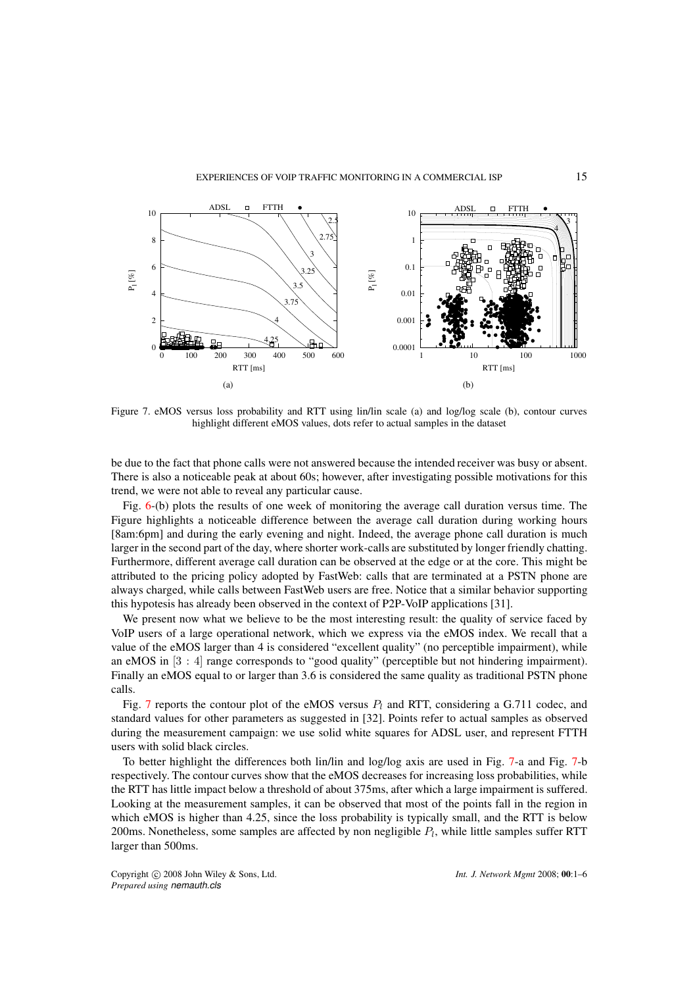

<span id="page-14-0"></span>Figure 7. eMOS versus loss probability and RTT using lin/lin scale (a) and log/log scale (b), contour curves highlight different eMOS values, dots refer to actual samples in the dataset

be due to the fact that phone calls were not answered because the intended receiver was busy or absent. There is also a noticeable peak at about 60s; however, after investigating possible motivations for this trend, we were not able to reveal any particular cause.

Fig. [6-](#page-13-0)(b) plots the results of one week of monitoring the average call duration versus time. The Figure highlights a noticeable difference between the average call duration during working hours [8am:6pm] and during the early evening and night. Indeed, the average phone call duration is much larger in the second part of the day, where shorter work-calls are substituted by longer friendly chatting. Furthermore, different average call duration can be observed at the edge or at the core. This might be attributed to the pricing policy adopted by FastWeb: calls that are terminated at a PSTN phone are always charged, while calls between FastWeb users are free. Notice that a similar behavior supporting this hypotesis has already been observed in the context of P2P-VoIP applications [31].

We present now what we believe to be the most interesting result: the quality of service faced by VoIP users of a large operational network, which we express via the eMOS index. We recall that a value of the eMOS larger than 4 is considered "excellent quality" (no perceptible impairment), while an eMOS in [3 : 4] range corresponds to "good quality" (perceptible but not hindering impairment). Finally an eMOS equal to or larger than 3.6 is considered the same quality as traditional PSTN phone calls.

Fig. [7](#page-14-0) reports the contour plot of the eMOS versus  $P_l$  and RTT, considering a G.711 codec, and standard values for other parameters as suggested in [32]. Points refer to actual samples as observed during the measurement campaign: we use solid white squares for ADSL user, and represent FTTH users with solid black circles.

To better highlight the differences both lin/lin and log/log axis are used in Fig. [7-](#page-14-0)a and Fig. [7-](#page-14-0)b respectively. The contour curves show that the eMOS decreases for increasing loss probabilities, while the RTT has little impact below a threshold of about 375ms, after which a large impairment is suffered. Looking at the measurement samples, it can be observed that most of the points fall in the region in which eMOS is higher than 4.25, since the loss probability is typically small, and the RTT is below 200ms. Nonetheless, some samples are affected by non negligible  $P_l$ , while little samples suffer RTT larger than 500ms.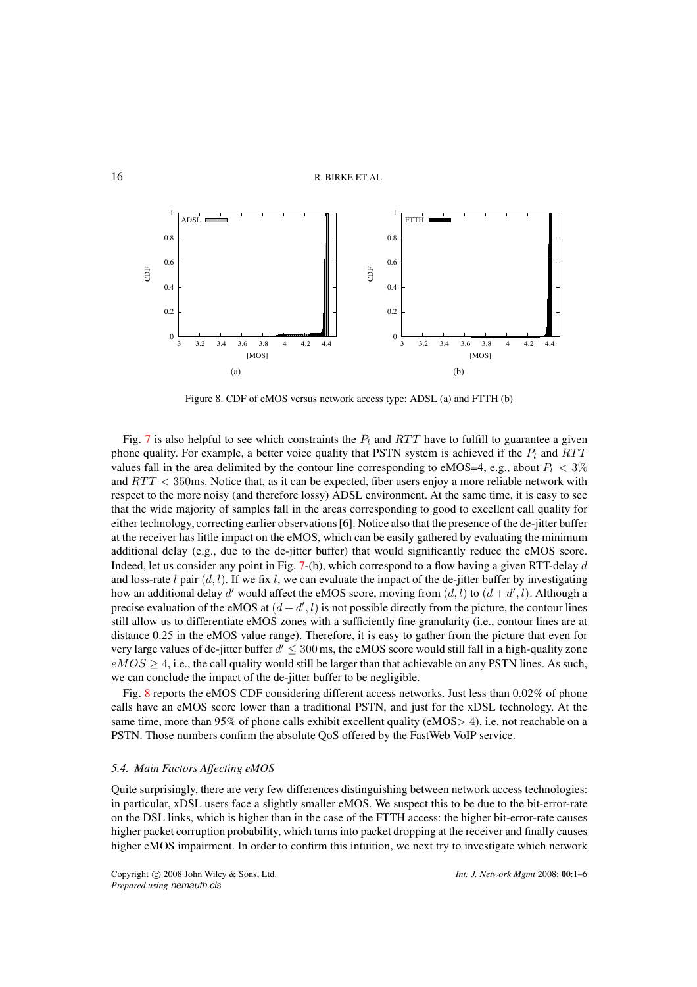

<span id="page-15-0"></span>Figure 8. CDF of eMOS versus network access type: ADSL (a) and FTTH (b)

Fig. [7](#page-14-0) is also helpful to see which constraints the  $P_l$  and  $RTT$  have to fulfill to guarantee a given phone quality. For example, a better voice quality that PSTN system is achieved if the  $P_l$  and  $RTT$ values fall in the area delimited by the contour line corresponding to eMOS=4, e.g., about  $P_1 < 3\%$ and  $RTT < 350$ ms. Notice that, as it can be expected, fiber users enjoy a more reliable network with respect to the more noisy (and therefore lossy) ADSL environment. At the same time, it is easy to see that the wide majority of samples fall in the areas corresponding to good to excellent call quality for either technology, correcting earlier observations [6]. Notice also that the presence of the de-jitter buffer at the receiver has little impact on the eMOS, which can be easily gathered by evaluating the minimum additional delay (e.g., due to the de-jitter buffer) that would significantly reduce the eMOS score. Indeed, let us consider any point in Fig. [7-](#page-14-0)(b), which correspond to a flow having a given RTT-delay d and loss-rate l pair  $(d, l)$ . If we fix l, we can evaluate the impact of the de-jitter buffer by investigating how an additional delay d' would affect the eMOS score, moving from  $(d, l)$  to  $(d + d', l)$ . Although a precise evaluation of the eMOS at  $(d + d', l)$  is not possible directly from the picture, the contour lines still allow us to differentiate eMOS zones with a sufficiently fine granularity (i.e., contour lines are at distance 0.25 in the eMOS value range). Therefore, it is easy to gather from the picture that even for very large values of de-jitter buffer  $d' \leq 300$  ms, the eMOS score would still fall in a high-quality zone  $eMOS \geq 4$ , i.e., the call quality would still be larger than that achievable on any PSTN lines. As such, we can conclude the impact of the de-jitter buffer to be negligible.

Fig. [8](#page-15-0) reports the eMOS CDF considering different access networks. Just less than 0.02% of phone calls have an eMOS score lower than a traditional PSTN, and just for the xDSL technology. At the same time, more than 95% of phone calls exhibit excellent quality (eMOS > 4), i.e. not reachable on a PSTN. Those numbers confirm the absolute QoS offered by the FastWeb VoIP service.

### *5.4. Main Factors Affecting eMOS*

Quite surprisingly, there are very few differences distinguishing between network access technologies: in particular, xDSL users face a slightly smaller eMOS. We suspect this to be due to the bit-error-rate on the DSL links, which is higher than in the case of the FTTH access: the higher bit-error-rate causes higher packet corruption probability, which turns into packet dropping at the receiver and finally causes higher eMOS impairment. In order to confirm this intuition, we next try to investigate which network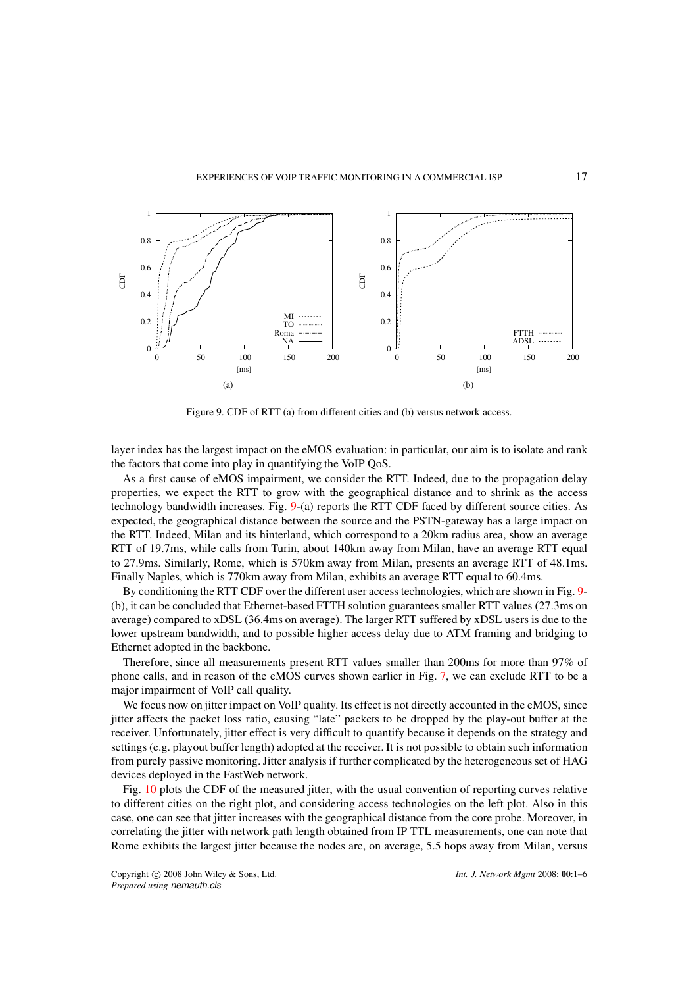

<span id="page-16-0"></span>Figure 9. CDF of RTT (a) from different cities and (b) versus network access.

layer index has the largest impact on the eMOS evaluation: in particular, our aim is to isolate and rank the factors that come into play in quantifying the VoIP QoS.

As a first cause of eMOS impairment, we consider the RTT. Indeed, due to the propagation delay properties, we expect the RTT to grow with the geographical distance and to shrink as the access technology bandwidth increases. Fig. [9-](#page-16-0)(a) reports the RTT CDF faced by different source cities. As expected, the geographical distance between the source and the PSTN-gateway has a large impact on the RTT. Indeed, Milan and its hinterland, which correspond to a 20km radius area, show an average RTT of 19.7ms, while calls from Turin, about 140km away from Milan, have an average RTT equal to 27.9ms. Similarly, Rome, which is 570km away from Milan, presents an average RTT of 48.1ms. Finally Naples, which is 770km away from Milan, exhibits an average RTT equal to 60.4ms.

By conditioning the RTT CDF over the different user access technologies, which are shown in Fig. [9-](#page-16-0) (b), it can be concluded that Ethernet-based FTTH solution guarantees smaller RTT values (27.3ms on average) compared to xDSL (36.4ms on average). The larger RTT suffered by xDSL users is due to the lower upstream bandwidth, and to possible higher access delay due to ATM framing and bridging to Ethernet adopted in the backbone.

Therefore, since all measurements present RTT values smaller than 200ms for more than 97% of phone calls, and in reason of the eMOS curves shown earlier in Fig. [7,](#page-14-0) we can exclude RTT to be a major impairment of VoIP call quality.

We focus now on jitter impact on VoIP quality. Its effect is not directly accounted in the eMOS, since jitter affects the packet loss ratio, causing "late" packets to be dropped by the play-out buffer at the receiver. Unfortunately, jitter effect is very difficult to quantify because it depends on the strategy and settings (e.g. playout buffer length) adopted at the receiver. It is not possible to obtain such information from purely passive monitoring. Jitter analysis if further complicated by the heterogeneous set of HAG devices deployed in the FastWeb network.

Fig. [10](#page-17-0) plots the CDF of the measured jitter, with the usual convention of reporting curves relative to different cities on the right plot, and considering access technologies on the left plot. Also in this case, one can see that jitter increases with the geographical distance from the core probe. Moreover, in correlating the jitter with network path length obtained from IP TTL measurements, one can note that Rome exhibits the largest jitter because the nodes are, on average, 5.5 hops away from Milan, versus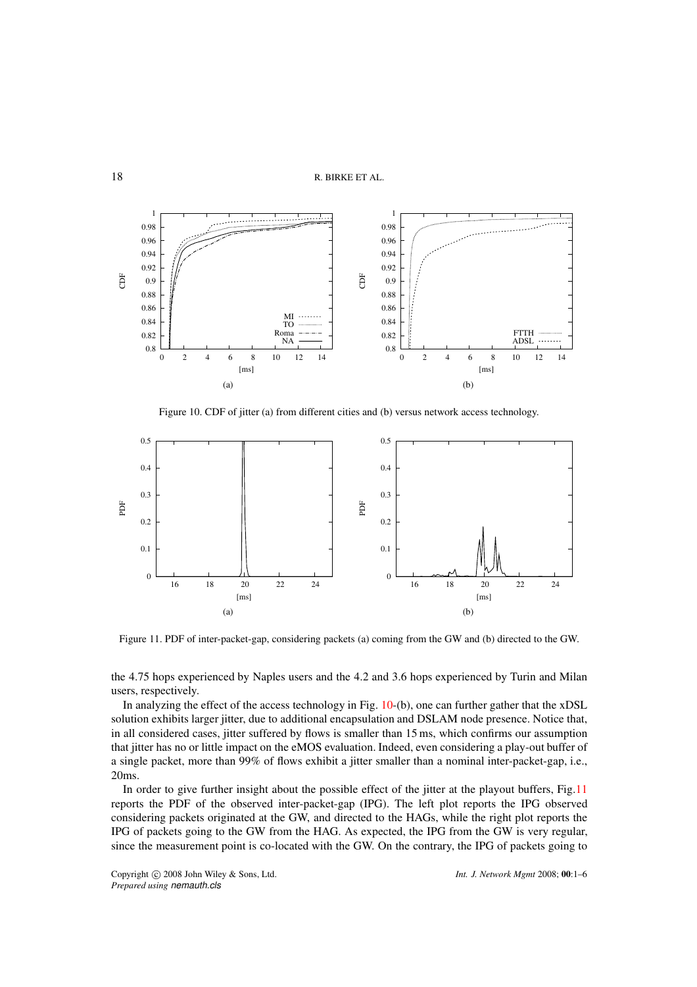

Figure 10. CDF of jitter (a) from different cities and (b) versus network access technology.

<span id="page-17-0"></span>

<span id="page-17-1"></span>Figure 11. PDF of inter-packet-gap, considering packets (a) coming from the GW and (b) directed to the GW.

the 4.75 hops experienced by Naples users and the 4.2 and 3.6 hops experienced by Turin and Milan users, respectively.

In analyzing the effect of the access technology in Fig. [10-](#page-17-0)(b), one can further gather that the xDSL solution exhibits larger jitter, due to additional encapsulation and DSLAM node presence. Notice that, in all considered cases, jitter suffered by flows is smaller than 15 ms, which confirms our assumption that jitter has no or little impact on the eMOS evaluation. Indeed, even considering a play-out buffer of a single packet, more than 99% of flows exhibit a jitter smaller than a nominal inter-packet-gap, i.e., 20ms.

In order to give further insight about the possible effect of the jitter at the playout buffers, Fig[.11](#page-17-1) reports the PDF of the observed inter-packet-gap (IPG). The left plot reports the IPG observed considering packets originated at the GW, and directed to the HAGs, while the right plot reports the IPG of packets going to the GW from the HAG. As expected, the IPG from the GW is very regular, since the measurement point is co-located with the GW. On the contrary, the IPG of packets going to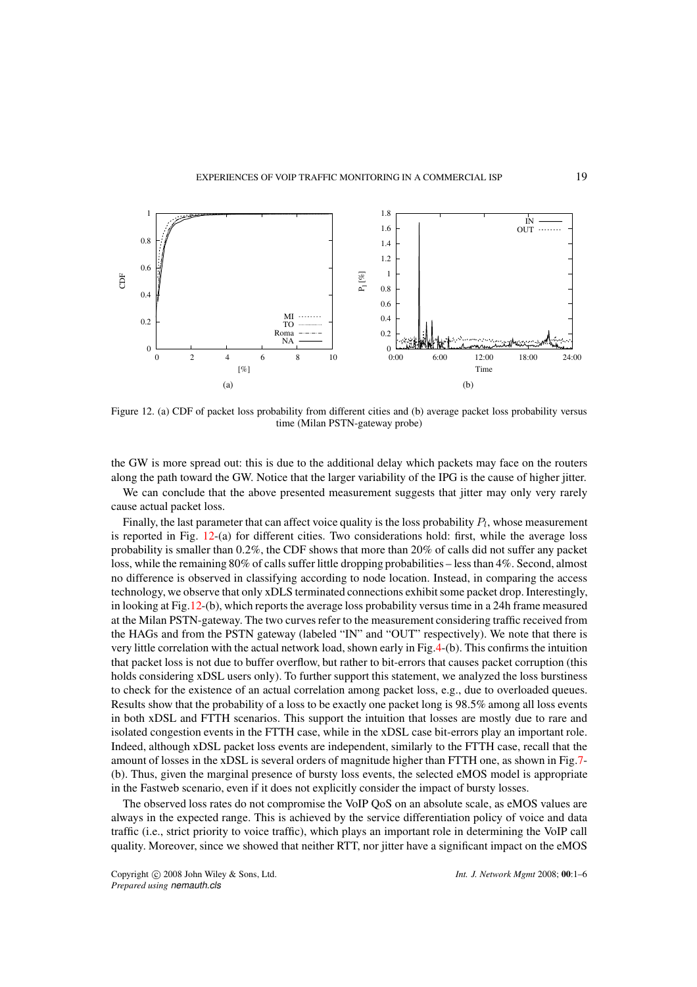

<span id="page-18-0"></span>Figure 12. (a) CDF of packet loss probability from different cities and (b) average packet loss probability versus time (Milan PSTN-gateway probe)

the GW is more spread out: this is due to the additional delay which packets may face on the routers along the path toward the GW. Notice that the larger variability of the IPG is the cause of higher jitter.

We can conclude that the above presented measurement suggests that jitter may only very rarely cause actual packet loss.

Finally, the last parameter that can affect voice quality is the loss probability  $P_l$ , whose measurement is reported in Fig. [12-](#page-18-0)(a) for different cities. Two considerations hold: first, while the average loss probability is smaller than 0.2%, the CDF shows that more than 20% of calls did not suffer any packet loss, while the remaining 80% of calls suffer little dropping probabilities – less than 4%. Second, almost no difference is observed in classifying according to node location. Instead, in comparing the access technology, we observe that only xDLS terminated connections exhibit some packet drop. Interestingly, in looking at Fig[.12-](#page-18-0)(b), which reports the average loss probability versus time in a 24h frame measured at the Milan PSTN-gateway. The two curves refer to the measurement considering traffic received from the HAGs and from the PSTN gateway (labeled "IN" and "OUT" respectively). We note that there is very little correlation with the actual network load, shown early in Fig[.4-](#page-11-0)(b). This confirms the intuition that packet loss is not due to buffer overflow, but rather to bit-errors that causes packet corruption (this holds considering xDSL users only). To further support this statement, we analyzed the loss burstiness to check for the existence of an actual correlation among packet loss, e.g., due to overloaded queues. Results show that the probability of a loss to be exactly one packet long is 98.5% among all loss events in both xDSL and FTTH scenarios. This support the intuition that losses are mostly due to rare and isolated congestion events in the FTTH case, while in the xDSL case bit-errors play an important role. Indeed, although xDSL packet loss events are independent, similarly to the FTTH case, recall that the amount of losses in the xDSL is several orders of magnitude higher than FTTH one, as shown in Fig[.7-](#page-14-0) (b). Thus, given the marginal presence of bursty loss events, the selected eMOS model is appropriate in the Fastweb scenario, even if it does not explicitly consider the impact of bursty losses.

The observed loss rates do not compromise the VoIP QoS on an absolute scale, as eMOS values are always in the expected range. This is achieved by the service differentiation policy of voice and data traffic (i.e., strict priority to voice traffic), which plays an important role in determining the VoIP call quality. Moreover, since we showed that neither RTT, nor jitter have a significant impact on the eMOS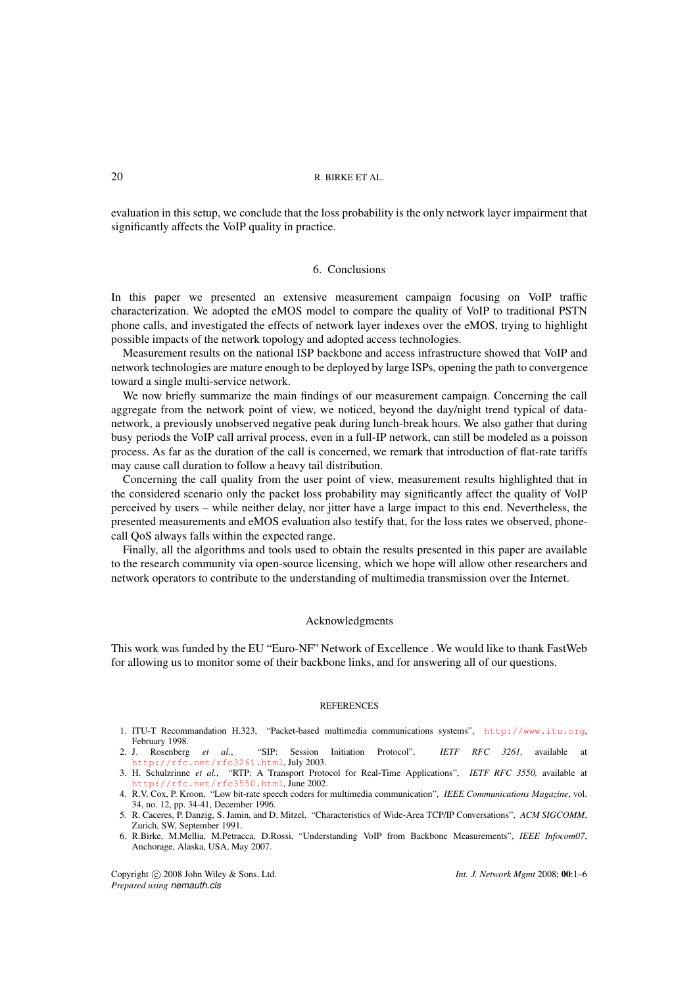evaluation in this setup, we conclude that the loss probability is the only network layer impairment that significantly affects the VoIP quality in practice.

### 6. Conclusions

<span id="page-19-0"></span>In this paper we presented an extensive measurement campaign focusing on VoIP traffic characterization. We adopted the eMOS model to compare the quality of VoIP to traditional PSTN phone calls, and investigated the effects of network layer indexes over the eMOS, trying to highlight possible impacts of the network topology and adopted access technologies.

Measurement results on the national ISP backbone and access infrastructure showed that VoIP and network technologies are mature enough to be deployed by large ISPs, opening the path to convergence toward a single multi-service network.

We now briefly summarize the main findings of our measurement campaign. Concerning the call aggregate from the network point of view, we noticed, beyond the day/night trend typical of datanetwork, a previously unobserved negative peak during lunch-break hours. We also gather that during busy periods the VoIP call arrival process, even in a full-IP network, can still be modeled as a poisson process. As far as the duration of the call is concerned, we remark that introduction of flat-rate tariffs may cause call duration to follow a heavy tail distribution.

Concerning the call quality from the user point of view, measurement results highlighted that in the considered scenario only the packet loss probability may significantly affect the quality of VoIP perceived by users – while neither delay, nor jitter have a large impact to this end. Nevertheless, the presented measurements and eMOS evaluation also testify that, for the loss rates we observed, phonecall QoS always falls within the expected range.

Finally, all the algorithms and tools used to obtain the results presented in this paper are available to the research community via open-source licensing, which we hope will allow other researchers and network operators to contribute to the understanding of multimedia transmission over the Internet.

### Acknowledgments

This work was funded by the EU "Euro-NF" Network of Excellence . We would like to thank FastWeb for allowing us to monitor some of their backbone links, and for answering all of our questions.

#### **REFERENCES**

- 1. ITU-T Recommandation H.323, "Packet-based multimedia communications systems", <http://www.itu.org>, February 1998.<br>2. J. Rosenberg et al.,
- "SIP: Session Initiation Protocol", *IETF RFC 3261*, available at <http://rfc.net/rfc3261.html>, July 2003.
- 3. H. Schulzrinne *et al.*, "RTP: A Transport Protocol for Real-Time Applications", *IETF RFC 3550,* available at <http://rfc.net/rfc3550.html>, June 2002.
- 4. R.V. Cox, P. Kroon, "Low bit-rate speech coders for multimedia communication", *IEEE Communications Magazine*, vol. 34, no. 12, pp. 34-41, December 1996.
- 5. R. Caceres, P. Danzig, S. Jamin, and D. Mitzel, "Characteristics of Wide-Area TCP/IP Conversations", *ACM SIGCOMM*, Zurich, SW, September 1991.
- 6. R.Birke, M.Mellia, M.Petracca, D.Rossi, "Understanding VoIP from Backbone Measurements", *IEEE Infocom07*, Anchorage, Alaska, USA, May 2007.

Copyright (c) 2008 John Wiley & Sons, Ltd. *Int. J. Network Mgmt* 2008; **00**:1–6 *Prepared using* nemauth.cls